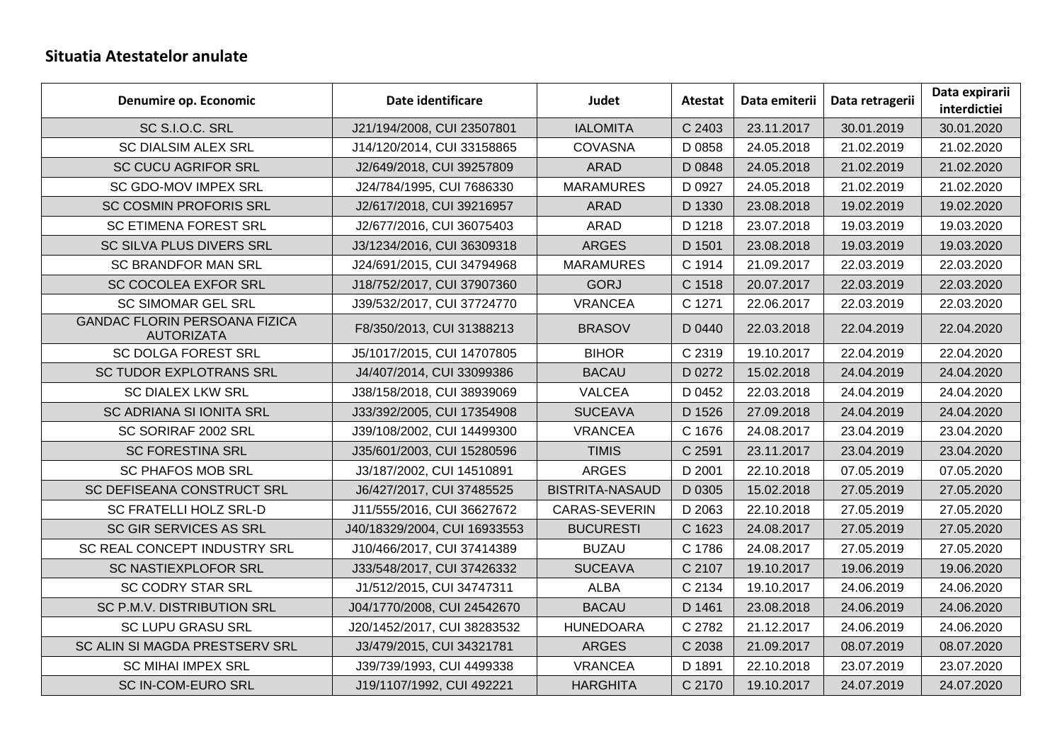## **Situatia Atestatelor anulate**

| Denumire op. Economic                                     | Date identificare            | Judet                  | Atestat | Data emiterii | Data retragerii | Data expirarii<br>interdictiei |
|-----------------------------------------------------------|------------------------------|------------------------|---------|---------------|-----------------|--------------------------------|
| SC S.I.O.C. SRL                                           | J21/194/2008, CUI 23507801   | <b>IALOMITA</b>        | C 2403  | 23.11.2017    | 30.01.2019      | 30.01.2020                     |
| <b>SC DIALSIM ALEX SRL</b>                                | J14/120/2014, CUI 33158865   | <b>COVASNA</b>         | D 0858  | 24.05.2018    | 21.02.2019      | 21.02.2020                     |
| <b>SC CUCU AGRIFOR SRL</b>                                | J2/649/2018, CUI 39257809    | <b>ARAD</b>            | D 0848  | 24.05.2018    | 21.02.2019      | 21.02.2020                     |
| SC GDO-MOV IMPEX SRL                                      | J24/784/1995, CUI 7686330    | <b>MARAMURES</b>       | D 0927  | 24.05.2018    | 21.02.2019      | 21.02.2020                     |
| <b>SC COSMIN PROFORIS SRL</b>                             | J2/617/2018, CUI 39216957    | <b>ARAD</b>            | D 1330  | 23.08.2018    | 19.02.2019      | 19.02.2020                     |
| <b>SC ETIMENA FOREST SRL</b>                              | J2/677/2016, CUI 36075403    | <b>ARAD</b>            | D 1218  | 23.07.2018    | 19.03.2019      | 19.03.2020                     |
| SC SILVA PLUS DIVERS SRL                                  | J3/1234/2016, CUI 36309318   | <b>ARGES</b>           | D 1501  | 23.08.2018    | 19.03.2019      | 19.03.2020                     |
| <b>SC BRANDFOR MAN SRL</b>                                | J24/691/2015, CUI 34794968   | <b>MARAMURES</b>       | C 1914  | 21.09.2017    | 22.03.2019      | 22.03.2020                     |
| SC COCOLEA EXFOR SRL                                      | J18/752/2017, CUI 37907360   | <b>GORJ</b>            | C 1518  | 20.07.2017    | 22.03.2019      | 22.03.2020                     |
| <b>SC SIMOMAR GEL SRL</b>                                 | J39/532/2017, CUI 37724770   | <b>VRANCEA</b>         | C 1271  | 22.06.2017    | 22.03.2019      | 22.03.2020                     |
| <b>GANDAC FLORIN PERSOANA FIZICA</b><br><b>AUTORIZATA</b> | F8/350/2013, CUI 31388213    | <b>BRASOV</b>          | D 0440  | 22.03.2018    | 22.04.2019      | 22.04.2020                     |
| <b>SC DOLGA FOREST SRL</b>                                | J5/1017/2015, CUI 14707805   | <b>BIHOR</b>           | C 2319  | 19.10.2017    | 22.04.2019      | 22.04.2020                     |
| SC TUDOR EXPLOTRANS SRL                                   | J4/407/2014, CUI 33099386    | <b>BACAU</b>           | D 0272  | 15.02.2018    | 24.04.2019      | 24.04.2020                     |
| <b>SC DIALEX LKW SRL</b>                                  | J38/158/2018, CUI 38939069   | <b>VALCEA</b>          | D 0452  | 22.03.2018    | 24.04.2019      | 24.04.2020                     |
| SC ADRIANA SI IONITA SRL                                  | J33/392/2005, CUI 17354908   | <b>SUCEAVA</b>         | D 1526  | 27.09.2018    | 24.04.2019      | 24.04.2020                     |
| SC SORIRAF 2002 SRL                                       | J39/108/2002, CUI 14499300   | <b>VRANCEA</b>         | C 1676  | 24.08.2017    | 23.04.2019      | 23.04.2020                     |
| <b>SC FORESTINA SRL</b>                                   | J35/601/2003, CUI 15280596   | <b>TIMIS</b>           | C 2591  | 23.11.2017    | 23.04.2019      | 23.04.2020                     |
| <b>SC PHAFOS MOB SRL</b>                                  | J3/187/2002, CUI 14510891    | <b>ARGES</b>           | D 2001  | 22.10.2018    | 07.05.2019      | 07.05.2020                     |
| SC DEFISEANA CONSTRUCT SRL                                | J6/427/2017, CUI 37485525    | <b>BISTRITA-NASAUD</b> | D 0305  | 15.02.2018    | 27.05.2019      | 27.05.2020                     |
| SC FRATELLI HOLZ SRL-D                                    | J11/555/2016, CUI 36627672   | CARAS-SEVERIN          | D 2063  | 22.10.2018    | 27.05.2019      | 27.05.2020                     |
| SC GIR SERVICES AS SRL                                    | J40/18329/2004, CUI 16933553 | <b>BUCURESTI</b>       | C 1623  | 24.08.2017    | 27.05.2019      | 27.05.2020                     |
| SC REAL CONCEPT INDUSTRY SRL                              | J10/466/2017, CUI 37414389   | <b>BUZAU</b>           | C 1786  | 24.08.2017    | 27.05.2019      | 27.05.2020                     |
| SC NASTIEXPLOFOR SRL                                      | J33/548/2017, CUI 37426332   | <b>SUCEAVA</b>         | C 2107  | 19.10.2017    | 19.06.2019      | 19.06.2020                     |
| <b>SC CODRY STAR SRL</b>                                  | J1/512/2015, CUI 34747311    | <b>ALBA</b>            | C 2134  | 19.10.2017    | 24.06.2019      | 24.06.2020                     |
| SC P.M.V. DISTRIBUTION SRL                                | J04/1770/2008, CUI 24542670  | <b>BACAU</b>           | D 1461  | 23.08.2018    | 24.06.2019      | 24.06.2020                     |
| <b>SC LUPU GRASU SRL</b>                                  | J20/1452/2017, CUI 38283532  | <b>HUNEDOARA</b>       | C 2782  | 21.12.2017    | 24.06.2019      | 24.06.2020                     |
| SC ALIN SI MAGDA PRESTSERV SRL                            | J3/479/2015, CUI 34321781    | <b>ARGES</b>           | C 2038  | 21.09.2017    | 08.07.2019      | 08.07.2020                     |
| <b>SC MIHAI IMPEX SRL</b>                                 | J39/739/1993, CUI 4499338    | <b>VRANCEA</b>         | D 1891  | 22.10.2018    | 23.07.2019      | 23.07.2020                     |
| SC IN-COM-EURO SRL                                        | J19/1107/1992, CUI 492221    | <b>HARGHITA</b>        | C 2170  | 19.10.2017    | 24.07.2019      | 24.07.2020                     |